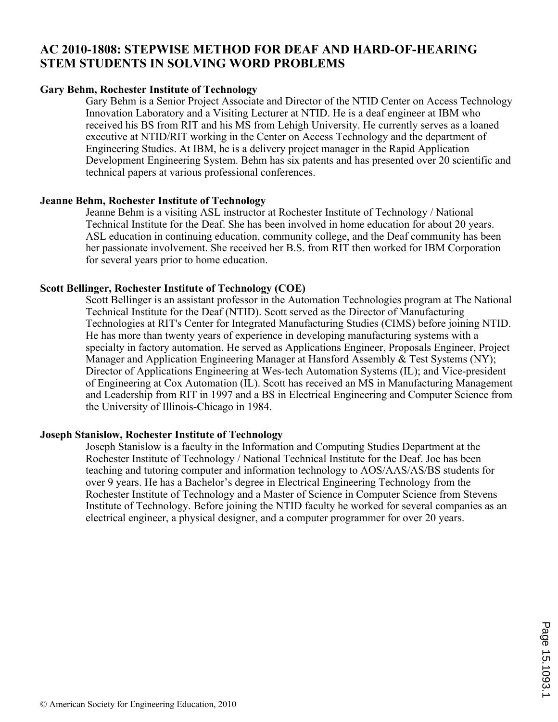## **AC 2010-1808: STEPWISE METHOD FOR DEAF AND HARD-OF-HEARING STEM STUDENTS IN SOLVING WORD PROBLEMS**

#### **Gary Behm, Rochester Institute of Technology**

Gary Behm is a Senior Project Associate and Director of the NTID Center on Access Technology Innovation Laboratory and a Visiting Lecturer at NTID. He is a deaf engineer at IBM who received his BS from RIT and his MS from Lehigh University. He currently serves as a loaned executive at NTID/RIT working in the Center on Access Technology and the department of Engineering Studies. At IBM, he is a delivery project manager in the Rapid Application Development Engineering System. Behm has six patents and has presented over 20 scientific and technical papers at various professional conferences.

#### **Jeanne Behm, Rochester Institute of Technology**

Jeanne Behm is a visiting ASL instructor at Rochester Institute of Technology / National Technical Institute for the Deaf. She has been involved in home education for about 20 years. ASL education in continuing education, community college, and the Deaf community has been her passionate involvement. She received her B.S. from RIT then worked for IBM Corporation for several years prior to home education.

#### **Scott Bellinger, Rochester Institute of Technology (COE)**

Scott Bellinger is an assistant professor in the Automation Technologies program at The National Technical Institute for the Deaf (NTID). Scott served as the Director of Manufacturing Technologies at RIT's Center for Integrated Manufacturing Studies (CIMS) before joining NTID. He has more than twenty years of experience in developing manufacturing systems with a specialty in factory automation. He served as Applications Engineer, Proposals Engineer, Project Manager and Application Engineering Manager at Hansford Assembly & Test Systems (NY); Director of Applications Engineering at Wes-tech Automation Systems (IL); and Vice-president of Engineering at Cox Automation (IL). Scott has received an MS in Manufacturing Management and Leadership from RIT in 1997 and a BS in Electrical Engineering and Computer Science from the University of Illinois-Chicago in 1984.

#### **Joseph Stanislow, Rochester Institute of Technology**

Joseph Stanislow is a faculty in the Information and Computing Studies Department at the Rochester Institute of Technology / National Technical Institute for the Deaf. Joe has been teaching and tutoring computer and information technology to AOS/AAS/AS/BS students for over 9 years. He has a Bachelor's degree in Electrical Engineering Technology from the Rochester Institute of Technology and a Master of Science in Computer Science from Stevens Institute of Technology. Before joining the NTID faculty he worked for several companies as an electrical engineer, a physical designer, and a computer programmer for over 20 years.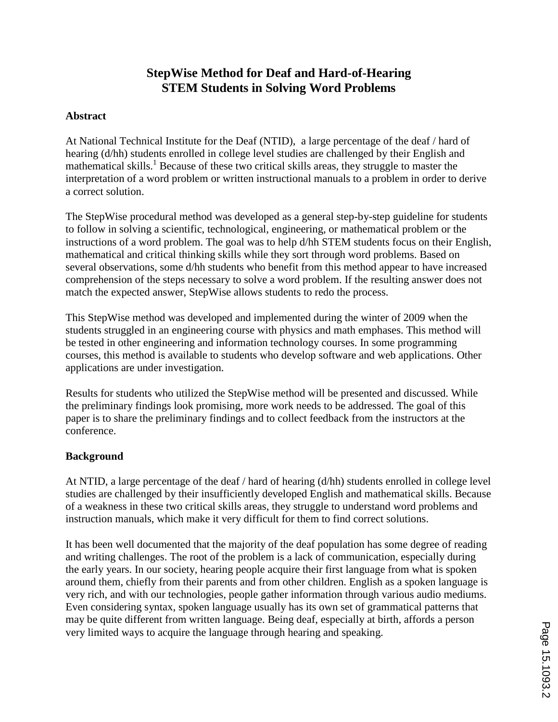# **StepWise Method for Deaf and Hard-of-Hearing STEM Students in Solving Word Problems**

### **Abstract**

At National Technical Institute for the Deaf (NTID), a large percentage of the deaf / hard of hearing (d/hh) students enrolled in college level studies are challenged by their English and mathematical skills.<sup>1</sup> Because of these two critical skills areas, they struggle to master the interpretation of a word problem or written instructional manuals to a problem in order to derive a correct solution.

The StepWise procedural method was developed as a general step-by-step guideline for students to follow in solving a scientific, technological, engineering, or mathematical problem or the instructions of a word problem. The goal was to help d/hh STEM students focus on their English, mathematical and critical thinking skills while they sort through word problems. Based on several observations, some d/hh students who benefit from this method appear to have increased comprehension of the steps necessary to solve a word problem. If the resulting answer does not match the expected answer, StepWise allows students to redo the process.

This StepWise method was developed and implemented during the winter of 2009 when the students struggled in an engineering course with physics and math emphases. This method will be tested in other engineering and information technology courses. In some programming courses, this method is available to students who develop software and web applications. Other applications are under investigation.

Results for students who utilized the StepWise method will be presented and discussed. While the preliminary findings look promising, more work needs to be addressed. The goal of this paper is to share the preliminary findings and to collect feedback from the instructors at the conference.

## **Background**

At NTID, a large percentage of the deaf / hard of hearing (d/hh) students enrolled in college level studies are challenged by their insufficiently developed English and mathematical skills. Because of a weakness in these two critical skills areas, they struggle to understand word problems and instruction manuals, which make it very difficult for them to find correct solutions.

It has been well documented that the majority of the deaf population has some degree of reading and writing challenges. The root of the problem is a lack of communication, especially during the early years. In our society, hearing people acquire their first language from what is spoken around them, chiefly from their parents and from other children. English as a spoken language is very rich, and with our technologies, people gather information through various audio mediums. Even considering syntax, spoken language usually has its own set of grammatical patterns that may be quite different from written language. Being deaf, especially at birth, affords a person very limited ways to acquire the language through hearing and speaking.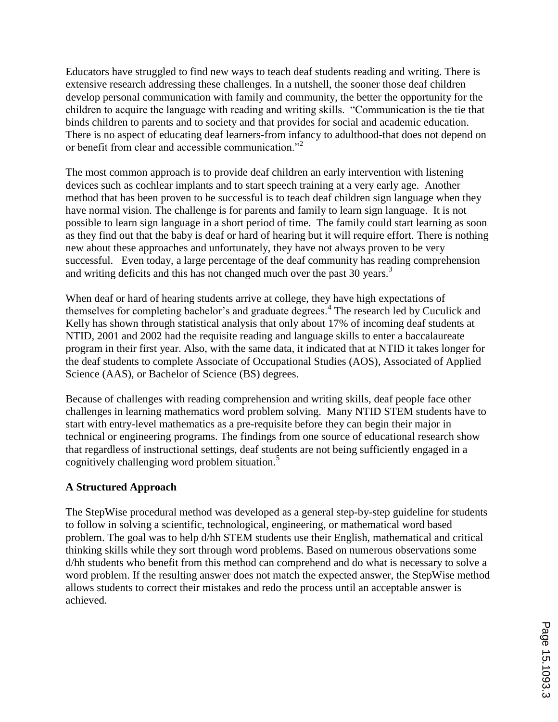Educators have struggled to find new ways to teach deaf students reading and writing. There is extensive research addressing these challenges. In a nutshell, the sooner those deaf children develop personal communication with family and community, the better the opportunity for the children to acquire the language with reading and writing skills. "Communication is the tie that binds children to parents and to society and that provides for social and academic education. There is no aspect of educating deaf learners-from infancy to adulthood-that does not depend on or benefit from clear and accessible communication."<sup>2</sup>

The most common approach is to provide deaf children an early intervention with listening devices such as cochlear implants and to start speech training at a very early age. Another method that has been proven to be successful is to teach deaf children sign language when they have normal vision. The challenge is for parents and family to learn sign language. It is not possible to learn sign language in a short period of time. The family could start learning as soon as they find out that the baby is deaf or hard of hearing but it will require effort. There is nothing new about these approaches and unfortunately, they have not always proven to be very successful. Even today, a large percentage of the deaf community has reading comprehension and writing deficits and this has not changed much over the past 30 years.<sup>3</sup>

When deaf or hard of hearing students arrive at college, they have high expectations of themselves for completing bachelor's and graduate degrees.<sup>4</sup> The research led by Cuculick and Kelly has shown through statistical analysis that only about 17% of incoming deaf students at NTID, 2001 and 2002 had the requisite reading and language skills to enter a baccalaureate program in their first year. Also, with the same data, it indicated that at NTID it takes longer for the deaf students to complete Associate of Occupational Studies (AOS), Associated of Applied Science (AAS), or Bachelor of Science (BS) degrees.

Because of challenges with reading comprehension and writing skills, deaf people face other challenges in learning mathematics word problem solving. Many NTID STEM students have to start with entry-level mathematics as a pre-requisite before they can begin their major in technical or engineering programs. The findings from one source of educational research show that regardless of instructional settings, deaf students are not being sufficiently engaged in a cognitively challenging word problem situation.<sup>5</sup>

## **A Structured Approach**

The StepWise procedural method was developed as a general step-by-step guideline for students to follow in solving a scientific, technological, engineering, or mathematical word based problem. The goal was to help d/hh STEM students use their English, mathematical and critical thinking skills while they sort through word problems. Based on numerous observations some d/hh students who benefit from this method can comprehend and do what is necessary to solve a word problem. If the resulting answer does not match the expected answer, the StepWise method allows students to correct their mistakes and redo the process until an acceptable answer is achieved.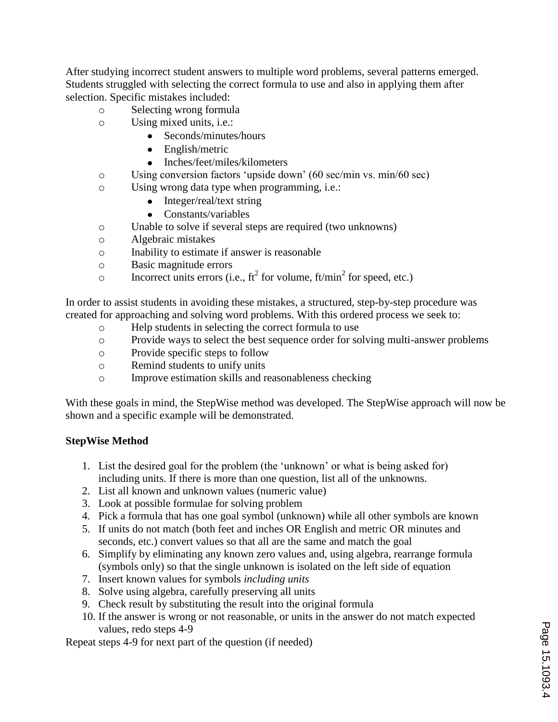After studying incorrect student answers to multiple word problems, several patterns emerged. Students struggled with selecting the correct formula to use and also in applying them after selection. Specific mistakes included:

- o Selecting wrong formula
- o Using mixed units, i.e.:
	- Seconds/minutes/hours
	- English/metric
	- Inches/feet/miles/kilometers
- o Using conversion factors "upside down" (60 sec/min vs. min/60 sec)
- o Using wrong data type when programming, i.e.:
	- Integer/real/text string
	- Constants/variables
- o Unable to solve if several steps are required (two unknowns)
- o Algebraic mistakes
- o Inability to estimate if answer is reasonable
- o Basic magnitude errors
- o Incorrect units errors (i.e.,  $ft^2$  for volume,  $ft/min^2$  for speed, etc.)

In order to assist students in avoiding these mistakes, a structured, step-by-step procedure was created for approaching and solving word problems. With this ordered process we seek to:

- o Help students in selecting the correct formula to use
- o Provide ways to select the best sequence order for solving multi-answer problems
- o Provide specific steps to follow
- o Remind students to unify units
- o Improve estimation skills and reasonableness checking

With these goals in mind, the StepWise method was developed. The StepWise approach will now be shown and a specific example will be demonstrated.

## **StepWise Method**

- 1. List the desired goal for the problem (the "unknown" or what is being asked for) including units. If there is more than one question, list all of the unknowns.
- 2. List all known and unknown values (numeric value)
- 3. Look at possible formulae for solving problem
- 4. Pick a formula that has one goal symbol (unknown) while all other symbols are known
- 5. If units do not match (both feet and inches OR English and metric OR minutes and seconds, etc.) convert values so that all are the same and match the goal
- 6. Simplify by eliminating any known zero values and, using algebra, rearrange formula (symbols only) so that the single unknown is isolated on the left side of equation
- 7. Insert known values for symbols *including units*
- 8. Solve using algebra, carefully preserving all units
- 9. Check result by substituting the result into the original formula
- 10. If the answer is wrong or not reasonable, or units in the answer do not match expected values, redo steps 4-9

Repeat steps 4-9 for next part of the question (if needed)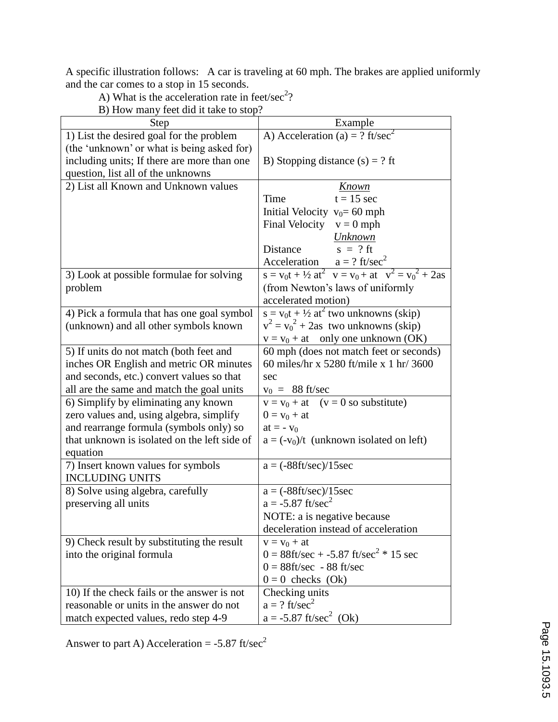A specific illustration follows: A car is traveling at 60 mph. The brakes are applied uniformly and the car comes to a stop in 15 seconds.

| $D/110w$ many feet and it take to stop:      |                                                                   |
|----------------------------------------------|-------------------------------------------------------------------|
| <b>Step</b>                                  | Example                                                           |
| 1) List the desired goal for the problem     | A) Acceleration (a) = ? ft/sec <sup>2</sup>                       |
| (the 'unknown' or what is being asked for)   |                                                                   |
| including units; If there are more than one  | B) Stopping distance $(s) = ?$ ft                                 |
| question, list all of the unknowns           |                                                                   |
| 2) List all Known and Unknown values         | Known                                                             |
|                                              | Time<br>$t = 15$ sec                                              |
|                                              | Initial Velocity $v_0 = 60$ mph                                   |
|                                              | Final Velocity $v = 0$ mph                                        |
|                                              | <b>Unknown</b>                                                    |
|                                              | $s = ?$ ft<br>Distance                                            |
|                                              | Acceleration $a = ?$ ft/sec <sup>2</sup>                          |
| 3) Look at possible formulae for solving     | $s = v_0 t + \frac{1}{2} at^2$ $v = v_0 + at$ $v^2 = v_0^2 + 2as$ |
| problem                                      | (from Newton's laws of uniformly                                  |
|                                              | accelerated motion)                                               |
| 4) Pick a formula that has one goal symbol   | $s = v_0 t + \frac{1}{2} at^2$ two unknowns (skip)                |
| (unknown) and all other symbols known        | $v^2 = v_0^2 + 2$ as two unknowns (skip)                          |
|                                              | $v = v_0 + at$ only one unknown (OK)                              |
| 5) If units do not match (both feet and      | 60 mph (does not match feet or seconds)                           |
| inches OR English and metric OR minutes      | 60 miles/hr x 5280 ft/mile x 1 hr/ 3600                           |
| and seconds, etc.) convert values so that    | sec                                                               |
| all are the same and match the goal units    | $v_0 = 88$ ft/sec                                                 |
| 6) Simplify by eliminating any known         | $v = v_0 + at$ (v = 0 so substitute)                              |
| zero values and, using algebra, simplify     | $0 = v_0 + at$                                                    |
| and rearrange formula (symbols only) so      | at = $-v_0$                                                       |
| that unknown is isolated on the left side of | $a = (-v_0)/t$ (unknown isolated on left)                         |
| equation                                     |                                                                   |
| 7) Insert known values for symbols           | $a = (-88 \text{ft/sec})/15 \text{sec}$                           |
| <b>INCLUDING UNITS</b>                       |                                                                   |
| 8) Solve using algebra, carefully            | $a = (-88 ft/sec)/15 sec$                                         |
| preserving all units                         | $a = -5.87$ ft/sec <sup>2</sup>                                   |
|                                              | NOTE: a is negative because                                       |
|                                              | deceleration instead of acceleration                              |
| 9) Check result by substituting the result   | $v = v_0 + at$                                                    |
| into the original formula                    | $0 = 88$ ft/sec + -5.87 ft/sec <sup>2</sup> * 15 sec              |
|                                              | $0 = 88$ ft/sec - 88 ft/sec                                       |
|                                              | $0 = 0$ checks (Ok)                                               |
| 10) If the check fails or the answer is not  | Checking units                                                    |
| reasonable or units in the answer do not     | $a = ?$ ft/sec <sup>2</sup>                                       |
| match expected values, redo step 4-9         | $a = -5.87$ ft/sec <sup>2</sup> (Ok)                              |

A) What is the acceleration rate in feet/sec<sup>2</sup>?

B) How many feet did it take to stop?

Answer to part A) Acceleration =  $-5.87$  ft/sec<sup>2</sup>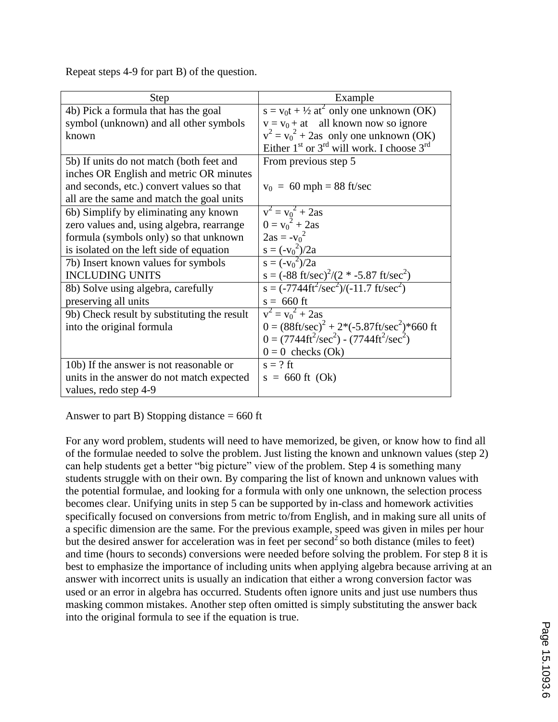Repeat steps 4-9 for part B) of the question.

| <b>Step</b>                                 | Example                                                                 |
|---------------------------------------------|-------------------------------------------------------------------------|
| 4b) Pick a formula that has the goal        | $s = v_0 t + \frac{1}{2} at^2$ only one unknown (OK)                    |
| symbol (unknown) and all other symbols      | $v = v_0 + at$ all known now so ignore                                  |
| known                                       | $v^2 = v_0^2 + 2$ as only one unknown (OK)                              |
|                                             | Either $1st$ or $3rd$ will work. I choose $3rd$                         |
| 5b) If units do not match (both feet and    | From previous step 5                                                    |
| inches OR English and metric OR minutes     |                                                                         |
| and seconds, etc.) convert values so that   | $v_0 = 60$ mph = 88 ft/sec                                              |
| all are the same and match the goal units   |                                                                         |
| 6b) Simplify by eliminating any known       | $v^2 = v_0^2 + 2as$                                                     |
| zero values and, using algebra, rearrange   | $0 = v_0^2 + 2as$                                                       |
| formula (symbols only) so that unknown      | $2as = -v_0^2$                                                          |
| is isolated on the left side of equation    | $s = (-v_0^2)/2a$                                                       |
| 7b) Insert known values for symbols         | $s = (-v_0^2)/2a$                                                       |
| <b>INCLUDING UNITS</b>                      | $s = (-88 \text{ ft/sec})^2/(2 * -5.87 \text{ ft/sec}^2)$               |
| 8b) Solve using algebra, carefully          | $s = (-7744 \text{ft}^2/\text{sec}^2)/(-11.7 \text{ ft/sec}^2)$         |
| preserving all units                        | $s = 660$ ft                                                            |
| 9b) Check result by substituting the result | $v^2 = v_0^2 + 2as$                                                     |
| into the original formula                   | $0 = (88 \text{ft/sec})^2 + 2*(-5.87 \text{ft/sec}^2)*660 \text{ ft}$   |
|                                             | $0 = (7744 \text{ft}^2/\text{sec}^2) - (7744 \text{ft}^2/\text{sec}^2)$ |
|                                             | $0 = 0$ checks (Ok)                                                     |
| 10b) If the answer is not reasonable or     | $s = ?$ ft                                                              |
| units in the answer do not match expected   | $s = 660$ ft (Ok)                                                       |
| values, redo step 4-9                       |                                                                         |

Answer to part B) Stopping distance  $= 660$  ft

For any word problem, students will need to have memorized, be given, or know how to find all of the formulae needed to solve the problem. Just listing the known and unknown values (step 2) can help students get a better "big picture" view of the problem. Step 4 is something many students struggle with on their own. By comparing the list of known and unknown values with the potential formulae, and looking for a formula with only one unknown, the selection process becomes clear. Unifying units in step 5 can be supported by in-class and homework activities specifically focused on conversions from metric to/from English, and in making sure all units of a specific dimension are the same. For the previous example, speed was given in miles per hour but the desired answer for acceleration was in feet per second<sup>2</sup> so both distance (miles to feet) and time (hours to seconds) conversions were needed before solving the problem. For step 8 it is best to emphasize the importance of including units when applying algebra because arriving at an answer with incorrect units is usually an indication that either a wrong conversion factor was used or an error in algebra has occurred. Students often ignore units and just use numbers thus masking common mistakes. Another step often omitted is simply substituting the answer back into the original formula to see if the equation is true.